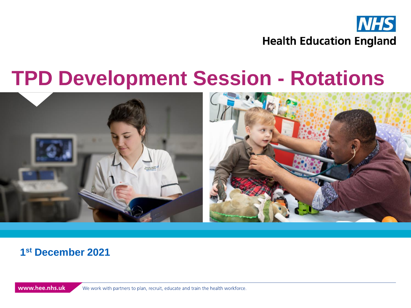

### **TPD Development Session - Rotations**



### **1 st December 2021**

www.hee.nhs.uk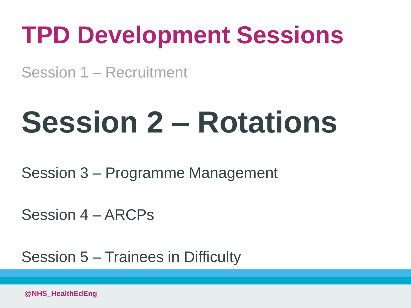# **TPD Development Sessions**

Session 1 – Recruitment

# **Session 2 – Rotations**

Session 3 – Programme Management

Session 4 – ARCPs

Session 5 – Trainees in Difficulty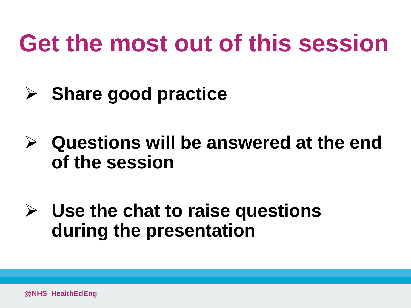# **Get the most out of this session**

- ➢ **Share good practice**
- ➢ **Questions will be answered at the end of the session**
- ➢ **Use the chat to raise questions during the presentation**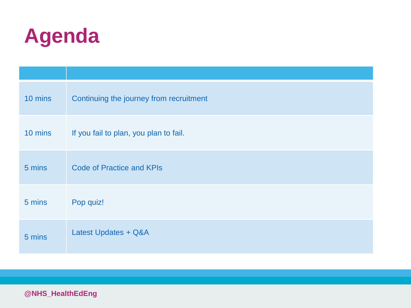

| 10 mins | Continuing the journey from recruitment |
|---------|-----------------------------------------|
| 10 mins | If you fail to plan, you plan to fail.  |
| 5 mins  | <b>Code of Practice and KPIs</b>        |
| 5 mins  | Pop quiz!                               |
| 5 mins  | Latest Updates + Q&A                    |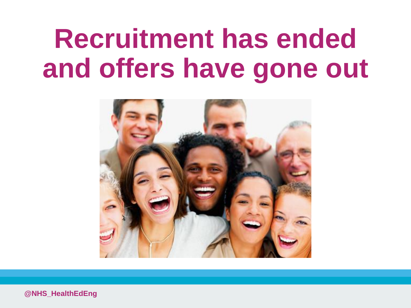# **Recruitment has ended and offers have gone out**

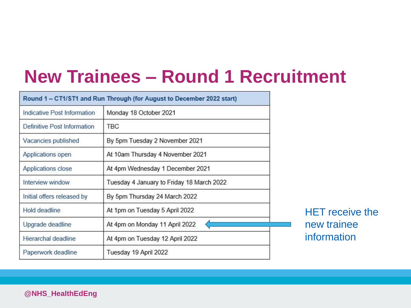### **New Trainees – Round 1 Recruitment**

|                                    | Round 1 – CT1/ST1 and Run Through (for August to December 2022 start) |
|------------------------------------|-----------------------------------------------------------------------|
| <b>Indicative Post Information</b> | Monday 18 October 2021                                                |
| Definitive Post Information        | TBC                                                                   |
| Vacancies published                | By 5pm Tuesday 2 November 2021                                        |
| Applications open                  | At 10am Thursday 4 November 2021                                      |
| Applications close                 | At 4pm Wednesday 1 December 2021                                      |
| Interview window                   | Tuesday 4 January to Friday 18 March 2022                             |
| Initial offers released by         | By 5pm Thursday 24 March 2022                                         |
| Hold deadline                      | At 1pm on Tuesday 5 April 2022                                        |
| Upgrade deadline                   | At 4pm on Monday 11 April 2022                                        |
| Hierarchal deadline                | At 4pm on Tuesday 12 April 2022                                       |
| Paperwork deadline                 | Tuesday 19 April 2022                                                 |

HET receive the new trainee information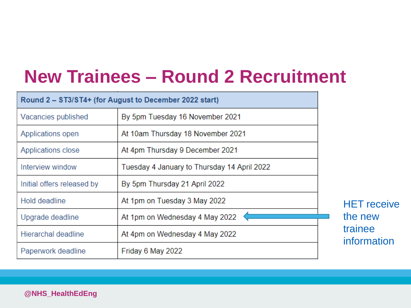### **New Trainees – Round 2 Recruitment**

| Round 2 – ST3/ST4+ (for August to December 2022 start) |                                             |                        |
|--------------------------------------------------------|---------------------------------------------|------------------------|
| Vacancies published                                    | By 5pm Tuesday 16 November 2021             |                        |
| Applications open                                      | At 10am Thursday 18 November 2021           |                        |
| Applications close                                     | At 4pm Thursday 9 December 2021             |                        |
| Interview window                                       | Tuesday 4 January to Thursday 14 April 2022 |                        |
| Initial offers released by                             | By 5pm Thursday 21 April 2022               |                        |
| Hold deadline                                          | At 1pm on Tuesday 3 May 2022                | <b>HET</b> receive     |
| Upgrade deadline                                       | At 1pm on Wednesday 4 May 2022              | the new                |
| Hierarchal deadline                                    | At 4pm on Wednesday 4 May 2022              | trainee<br>information |
| Paperwork deadline                                     | Friday 6 May 2022                           |                        |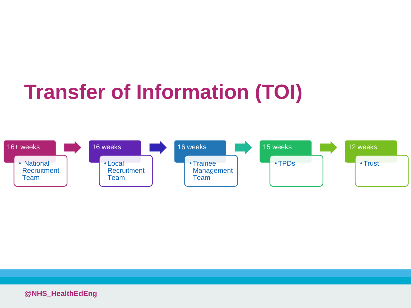## **Transfer of Information (TOI)**

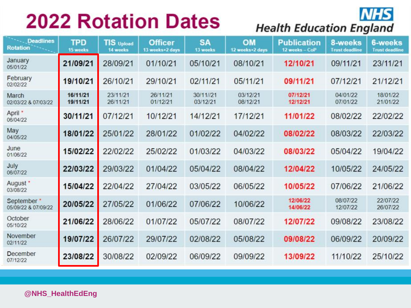## **2022 Rotation Dates**



| <b>Deadlines</b><br><b>Rotation</b> | <b>TPD</b><br>15 weeks | <b>TIS</b> Upload<br>14 weeks | <b>Officer</b><br>13 weeks+2 days | <b>SA</b><br>13 weeks | OM<br>12 weeks+2 days | <b>Publication</b><br>12 weeks - CoP | 8-weeks<br><b>Trust deadline</b> | 6-weeks<br><b>Trust deadline</b> |
|-------------------------------------|------------------------|-------------------------------|-----------------------------------|-----------------------|-----------------------|--------------------------------------|----------------------------------|----------------------------------|
| January<br>05/01/22                 | 21/09/21               | 28/09/21                      | 01/10/21                          | 05/10/21              | 08/10/21              | 12/10/21                             | 09/11/21                         | 23/11/21                         |
| February<br>02/02/22                | 19/10/21               | 26/10/21                      | 29/10/21                          | 02/11/21              | 05/11/21              | 09/11/21                             | 07/12/21                         | 21/12/21                         |
| March<br>02/03/22 & 07/03/22        | 16/11/21<br>19/11/21   | 23/11/21<br>26/11/21          | 26/11/21<br>01/12/21              | 30/11//21<br>03/12/21 | 03/12/21<br>08/12/21  | 07/12/21<br>12/12/21                 | 04/01/22<br>07/01/22             | 18/01/22<br>21/01/22             |
| April '<br>06/04/22                 | 30/11/21               | 07/12/21                      | 10/12/21                          | 14/12/21              | 17/12/21              | 11/01/22                             | 08/02/22                         | 22/02/22                         |
| May<br>04/05/22                     | 18/01/22               | 25/01/22                      | 28/01/22                          | 01/02/22              | 04/02/22              | 08/02/22                             | 08/03/22                         | 22/03/22                         |
| June<br>01/06/22                    | 15/02/22               | 22/02/22                      | 25/02/22                          | 01/03/22              | 04/03/22              | 08/03/22                             | 05/04/22                         | 19/04/22                         |
| July<br>06/07/22                    | 22/03/22               | 29/03/22                      | 01/04/22                          | 05/04/22              | 08/04/22              | 12/04/22                             | 10/05/22                         | 24/05/22                         |
| August *<br>03/08/22                | 15/04/22               | 22/04/22                      | 27/04/22                          | 03/05/22              | 06/05/22              | 10/05/22                             | 07/06/22                         | 21/06/22                         |
| September '<br>05/09/22 & 07/09/22  | 20/05/22               | 27/05/22                      | 01/06/22                          | 07/06/22              | 10/06/22              | 12/06/22<br>14/06/22                 | 08/07/22<br>12/07/22             | 22/07/22<br>26/07/22             |
| October<br>05/10/22                 | 21/06/22               | 28/06/22                      | 01/07/22                          | 05/07/22              | 08/07/22              | 12/07/22                             | 09/08/22                         | 23/08/22                         |
| November<br>02/11/22                | 19/07/22               | 26/07/22                      | 29/07/22                          | 02/08/22              | 05/08/22              | 09/08/22                             | 06/09/22                         | 20/09/22                         |
| December<br>07/12/22                | 23/08/22               | 30/08/22                      | 02/09/22                          | 06/09/22              | 09/09/22              | 13/09/22                             | 11/10/22                         | 25/10/22                         |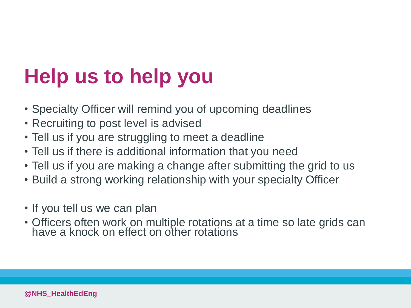## **Help us to help you**

- Specialty Officer will remind you of upcoming deadlines
- Recruiting to post level is advised
- Tell us if you are struggling to meet a deadline
- Tell us if there is additional information that you need
- Tell us if you are making a change after submitting the grid to us
- Build a strong working relationship with your specialty Officer
- If you tell us we can plan
- Officers often work on multiple rotations at a time so late grids can have a knock on effect on other rotations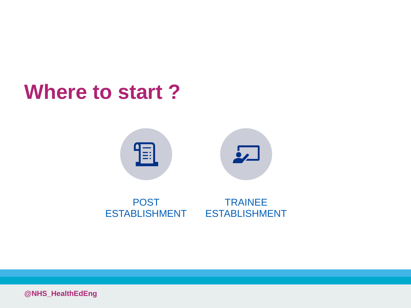### **Where to start ?**



**POST** ESTABLISHMENT ESTABLISHMENTTRAINEE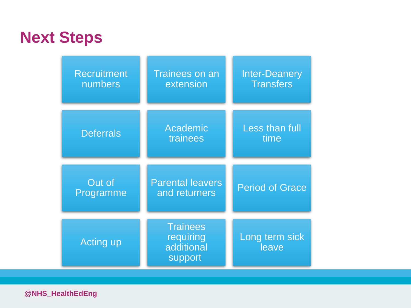### **Next Steps**

| <b>Recruitment</b><br>numbers | <b>Trainees on an</b><br>extension                    | <b>Inter-Deanery</b><br><b>Transfers</b> |
|-------------------------------|-------------------------------------------------------|------------------------------------------|
| <b>Deferrals</b>              | Academic<br>trainees                                  | Less than full<br>time                   |
| Out of<br>Programme           | <b>Parental leavers</b><br>and returners              | <b>Period of Grace</b>                   |
| Acting up                     | <b>Trainees</b><br>requiring<br>additional<br>support | Long term sick<br>leave                  |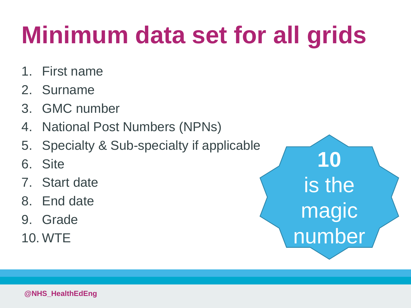# **Minimum data set for all grids**

- 1. First name
- 2. Surname
- 3. GMC number
- 4. National Post Numbers (NPNs)
- 5. Specialty & Sub-specialty if applicable
- 6. Site
- 7. Start date
- 8. End date
- 9. Grade
- 10. WTE

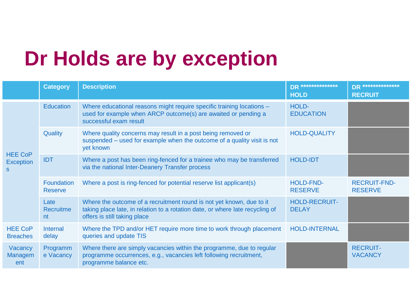### **Dr Holds are by exception**

|                                         | <b>Category</b>              | <b>Description</b>                                                                                                                                                                    | <b>DR ***************</b><br><b>HOLD</b> | <b>DR ***************</b><br><b>RECRUIT</b> |
|-----------------------------------------|------------------------------|---------------------------------------------------------------------------------------------------------------------------------------------------------------------------------------|------------------------------------------|---------------------------------------------|
| <b>HEE CoP</b><br><b>Exception</b><br>S | <b>Education</b>             | Where educational reasons might require specific training locations -<br>used for example when ARCP outcome(s) are awaited or pending a<br>successful exam result                     | HOLD-<br><b>EDUCATION</b>                |                                             |
|                                         | Quality                      | Where quality concerns may result in a post being removed or<br>suspended – used for example when the outcome of a quality visit is not<br>yet known                                  | <b>HOLD-QUALITY</b>                      |                                             |
|                                         | <b>IDT</b>                   | Where a post has been ring-fenced for a trainee who may be transferred<br>via the national Inter-Deanery Transfer process                                                             | <b>HOLD-IDT</b>                          |                                             |
|                                         | Foundation<br><b>Reserve</b> | Where a post is ring-fenced for potential reserve list applicant(s)                                                                                                                   | HOLD-FND-<br><b>RESERVE</b>              | <b>RECRUIT-FND-</b><br><b>RESERVE</b>       |
|                                         | Late<br>Recruitme<br>nt      | Where the outcome of a recruitment round is not yet known, due to it<br>taking place late, in relation to a rotation date, or where late recycling of<br>offers is still taking place | <b>HOLD-RECRUIT-</b><br><b>DELAY</b>     |                                             |
| <b>HEE CoP</b><br><b>Breaches</b>       | Internal<br>delay            | Where the TPD and/or HET require more time to work through placement<br>queries and update TIS                                                                                        | <b>HOLD-INTERNAL</b>                     |                                             |
| Vacancy<br>Managem<br>ent               | Programm<br>e Vacancy        | Where there are simply vacancies within the programme, due to regular<br>programme occurrences, e.g., vacancies left following recruitment,<br>programme balance etc.                 |                                          | <b>RECRUIT-</b><br><b>VACANCY</b>           |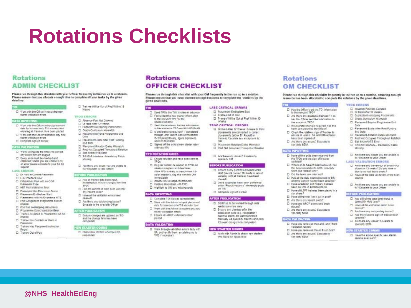## **Rotations Checklists**

### **Rotations ADMIN CHECKLIST**

Please run through this checklist with your Officer frequently in the run up to a rotation. Please ensure that you allocate enough time to complete all your tasks by the given deadline

C Trainee Will be Out of Post Within 13

**Duplicate/Overlapping Placements** 

Placement Beyond Programme End

Placement-Rotation Date: Microatch

D TIS ESR Interface - Mandatory Fields

[3] Are there any issues you are unable to

including last minute changes from the

[7] Has the correct Dr Hold been used for

D. Have at the validation errors been

C Are there any outstanding issues?

Encatete to the specialty Officer

El Enture changes are updated on TrS

and the change form has been

Chase new starters who have not

fo? Escalate to your Officer

D. Has all trained data been input

**ILFORE PUBLICATION** 

any vacant posts?

Past Not Occupied Throughout Rotation

D Placement Exists After Post Funding

C Absence Post Not Covered

Dr Hold After 12 Weeks

Siot Shane WTE Error

Grade-Curriculum Minmatch

TROO ERRORS

Date:

Fort Forte

Missing

TPD?

classed?

**AFTER FURLICATION** 

completed

responded

EW STARTER COMMS

D Work with the Officer in resorving new starter validation emore

### **DATA INPUTTING**

- D Work with the Officer to input placement data for trainees onto TIS via rotor tool ansuring all trainess have been placed
- C) Werk with the Officer to resolve any new starter validation engine
- D Complete sign of tracket

### **BAYA VALIDATION**

- C Works alongside the Officer to correct any errors that are flagged C Even error must be checked and
- corrected: where you are unable to fix an error please escalate to your fix for puppett

### LASE FRIORS

- D Dr Hold in Current Placement
- D. ESG Interface From <sup>25</sup> Estatésten Port vitt en OOP
- Placement Type
- D. HET Post Validation Error
- D Placement Has Entreasus Grade
- C Placement-Fort before Start
- El Placements with Nadimensious XITE D Post Assigned to Programme but not
- robation D. Post has everlapping placements
- C Programme Dates Validation Error
- D. Trainee Assigned to Programme but not rotation
- D Trainee has Overlaps or Gaps in Clarament
- [7] Trainee Star Playement in Another Repion
- D. Transe Out of Post

### **Rotations OFFICER CHECKLIST**

Please run through this checklist with your OM frequently in the run up to a rotation. Please ensure that you have planned enough resource to complete the rotations by the given deadlines.

- TOI Ci - Sand TPOs the TOI timeline in advance D. Forwarded the new starter information to the relevant TPD for the
	- station cheme [3] Send the academic trainee information
- to the ecodemic TPD and HOSF SO(AD) D. ta preferencing required? If completed through Oriel Usined with Recruitment If completed locally, agree a process
- and cet deadlines. D Signed off the school new starter letter with your SA

### **TPD ROTATION GRIDS**

- D Ensure ratation grid have been cent to TPDe
- D Regular comms & support to TPDs on refation progress and deadlines If the TPO is likely to breach their 15week deadline. flag this with the CM immediziers
- D Inform TPD of unplaced traineed <sup>15</sup> Enable showings with TRD.
- D Highlight to OM any missing grids

### DATA INPUTTING

- El Complete TOI Maland rareatsheet □ Work with the Admin to input piacoment
- data for trainpes onto THS via rotor tool C Work with the Admin to resolve any new
- starter unistation errors C) Ensure at ARCP extensions been obsced

### **DATA VALIDATION**

C) Work through voldation errors daily with SA and rectify them, excellating up to TPD (Concession)

### **Rotations OM CHECKLIST**

Please run through this checklist frequently in the run up to a rotation, ensuring enough resource has been allocated to complete the rotations by the given deadlines.

TROO ERRORS

Cale

End Date

Mixene

cleared

Genrad?

updated?

IT AND REGIONATE FINAL

F1 Ancence Post Not Covered

CL. Oranjo Curriculum Microsoft

D. Quolicate/Overlapping Placements

[7] Placement Reynold Programme End

7 Pacement Eusts After Post Funding

<sup>21</sup> Pracement-Rotation Dates Mismatch

C T/S ESR Interface - Mandatony Fields

CI Are there any resues you are unable to

T Are there any trainee out of post or put

C) Have all the mate validation errors bean

C) Are there any issues you are unable to

st gost in 13 weeks? Do you have a

fix? Encalabe to your Officer

sign to correct these errors?

fir? Escalate to your Difficer

71 Hot all fromas data hean would be

El Have all the validation errors been

*REFORE PUBLICATION* 

Georgi blokt 10 ftomas

**LASE VALIDATION ERRORS** 

CI Post Not Occupied Throughout Rotation

C) Or Hold After 12 Weeks

- D Has the Officer sent the TOI information to the newsater TBDO
- D Are there are academic trainees? If so. has the Officer sent the information tofre academic TPD?
	- D. If sub-preferencing is required, has this been computed by the Officer? [3] Check the rotations sign off tracker to
	- ensure all Admin. SA and Officer tasks. **Bo barros need artist** El Are there any issues? Escalate to
	- speciaty SDM.

### **DATA INPUTTING**

- D Have all the grids been received from the TRDs and the cine effinative castiana.com
- FL. Wilson mids house/t logon received inacthis bear ascapped to kitch specially SEW3 resistant has MIDS
- D. Did the team use rolor too!?
- D Has at the data been upleaded to TIS and the sign off tracker been updated?
- How academic and military trainees
- been put into in addition posts? D Have all LTFT trainees been placed in a
- abel strape?
- F1. Blave all formers been nut in north
- [7] Any there are vacant conte?
- D mays any ARCP extensions been
- staces? El Are there are issues? Escalate to
- specially SEM.

### **BATA VALIDATION**

- D. Have you reclaimed the Latifi and TRoO validation report?
- Things was filled and designed from a start client
- [] Are there any lesues? Escalate to
- risecisty SDM
- CI Are there any outstanding looues? El Has the relations sign off backer been El Are there any issues? Escalate to specially SOM **W STARTER COMM**
- El Have the school specific new stater comms been sent?

**@NHS\_HealthEdEng**

- **LASE CRITICAL ERRORS** C Placement-End before Start Transa put of post T Trainee Will be Out of Post Within 13 Orientes. **TROG CRITICAL ERRORS** 
	- C) Dr Hold After 12 Weeks: Ensure Dr Hold placements are converted to comect placements (either Dr Recruit or trainers). Excelate any exceptions to:
	- COM C Piecement-Rotebon Dates Mixmatch
	- C Post Not Occurred Throcohout Rotation
	- [] Are there any issues? Escalate to specially OM

### **IEFORE PUBLICATION**

- Ensure every post has a trainee of Dr Held (do not coment Dr Holds to recruit vacancy until sell trainers have been oligeart)
- C) Once vacancies have been confirmed enter 'Recruit vacancy' into empty posts on Tits
- [3] Complete sign off tracket

### AFTER PUBLICATION

- C Continue to be worked through data validation errors daily D Ensure any changes after the
	- behovirummos eta, issael latneras

### **EW STARTER COMMS**

- (1). Work with Arbrain is charge new starters. who have not responded
- 
- 

- 
- manually via specially mailbox and post-
- publication date (e.g. resignation )
- 
- 
- 12-week change form completed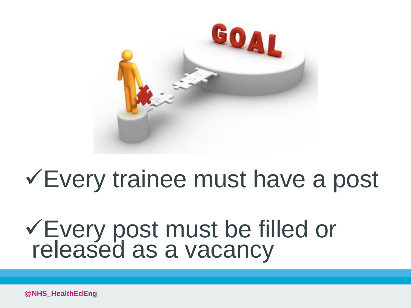

# ✓Every trainee must have a post

## ✓Every post must be filled or released as a vacancy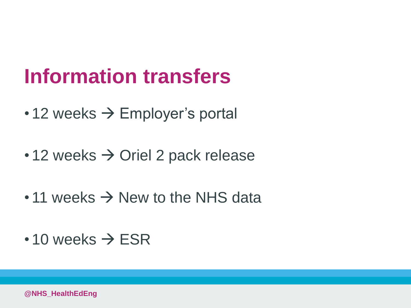## **Information transfers**

- 12 weeks  $\rightarrow$  Employer's portal
- 12 weeks  $\rightarrow$  Oriel 2 pack release
- $\cdot$  11 weeks  $\rightarrow$  New to the NHS data
- $\cdot$  10 weeks  $\rightarrow$  ESR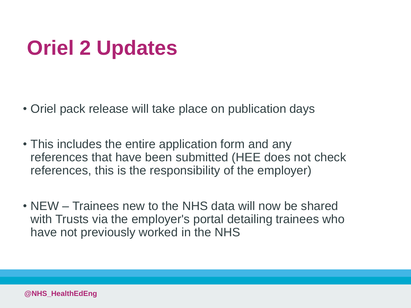## **Oriel 2 Updates**

- Oriel pack release will take place on publication days
- This includes the entire application form and any references that have been submitted (HEE does not check references, this is the responsibility of the employer)
- NEW Trainees new to the NHS data will now be shared with Trusts via the employer's portal detailing trainees who have not previously worked in the NHS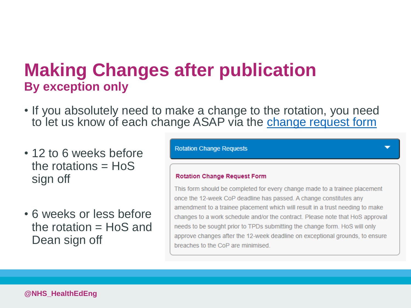### **Making Changes after publication By exception only**

- If you absolutely need to make a change to the rotation, you need to let us know of each change ASAP via the [change request form](https://forms.office.com/Pages/ResponsePage.aspx?id=K5Gn_5ewMUGcD9DoB1Wyqx_rYuXHa2ZKhY-gj6ruY5FUMUU0RlJBUVFYNFQ2MzY1MlJHVFBXWVBZRi4u)
- 12 to 6 weeks before the rotations  $=$  HoS sign off
- 6 weeks or less before the rotation  $=$  HoS and Dean sign off

**Rotation Change Requests** 

### **Rotation Change Request Form**

This form should be completed for every change made to a trainee placement once the 12-week CoP deadline has passed. A change constitutes any amendment to a trainee placement which will result in a trust needing to make changes to a work schedule and/or the contract. Please note that HoS approval needs to be sought prior to TPDs submitting the change form. HoS will only approve changes after the 12-week deadline on exceptional grounds, to ensure breaches to the CoP are minimised.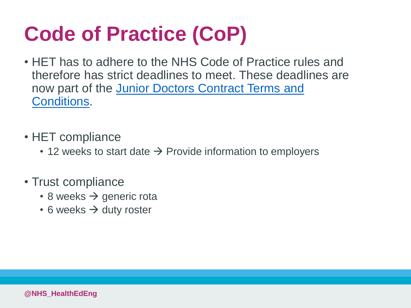## **Code of Practice (CoP)**

- HET has to adhere to the NHS Code of Practice rules and therefore has strict deadlines to meet. These deadlines are now part of the Junior Doctors Contract Terms and Conditions.
- HET compliance
	- 12 weeks to start date  $\rightarrow$  Provide information to employers
- Trust compliance
	- 8 weeks  $\rightarrow$  generic rota
	- 6 weeks  $\rightarrow$  duty roster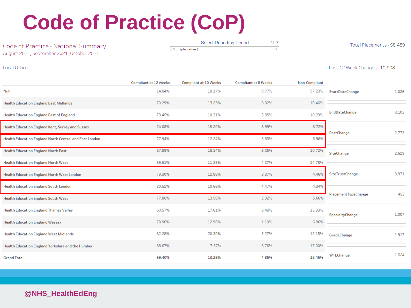## **Code of Practice (CoP)**

Code of Practice - National Summary August 2021, September 2021, October 2021

Select Reporting Period

(Multiple values)

 $\chi_{\rm X}$   $\blacktriangledown$ 

 $\overline{\phantom{a}}$ 

Total Placements - 58,489

### Local Office

|                                                        | Compliant at 12 weeks | <b>Compliant at 10 Weeks</b> | <b>Compliant at 8 Weeks</b> | Non-Compliant |                      |       |
|--------------------------------------------------------|-----------------------|------------------------------|-----------------------------|---------------|----------------------|-------|
| Null                                                   | 14.84%                | 18.17%                       | 9.77%                       | 57.23%        | StartDateChange      | 1,026 |
| <b>Health Education England East Midlands</b>          | 70.29%                | 13.23%                       | 6.02%                       | 10.46%        |                      |       |
| <b>Health Education England East of England</b>        | 73.45%                | 10.31%                       | 5.95%                       | 10.29%        | <b>EndDateChange</b> | 3,103 |
| Health Education England Kent, Surrey and Sussex       | 74.08%                | 15.20%                       | 3.99%                       | 6.72%         | PostChange           | 2,773 |
| Health Education England North Central and East London | 77.94%                | 12.24%                       | 5.83%                       | 3.98%         |                      |       |
| <b>Health Education England North East</b>             | 67.89%                | 18.14%                       | 3.25%                       | 10.72%        | SiteChange           | 2,529 |
| <b>Health Education England North West</b>             | 59.61%                | 11.33%                       | 4.27%                       | 24.78%        |                      |       |
| <b>Health Education England North West London</b>      | 79.30%                | 12.88%                       | 3.37%                       | 4.46%         | SiteTrustChange      | 3,971 |
| <b>Health Education England South London</b>           | 80.52%                | 10.66%                       | 4.47%                       | 4.34%         |                      |       |
| <b>Health Education England South West</b>             | 77.86%                | 13.56%                       | 2.92%                       | 5.66%         | PlacementTypeChange  | 453   |
| <b>Health Education England Thames Valley</b>          | 60.57%                | 17.61%                       | 6.48%                       | 15.33%        | SpecialtyChange      | 1,007 |
| <b>Health Education England Wessex</b>                 | 78.96%                | 12.98%                       | 1.10%                       | 6.96%         |                      |       |
| <b>Health Education England West Midlands</b>          | 62.28%                | 20.30%                       | 5.27%                       | 12.15%        | GradeChange          | 1,917 |
| Health Education England Yorkshire and the Humber      | 68.67%                | 7.57%                        | 6.76%                       | 17.00%        |                      |       |
| <b>Grand Total</b>                                     | 69.40%                | 13.28%                       | 4.86%                       | 12.46%        | WTEChange            | 1,524 |

Post 12 Week Changes - 10,908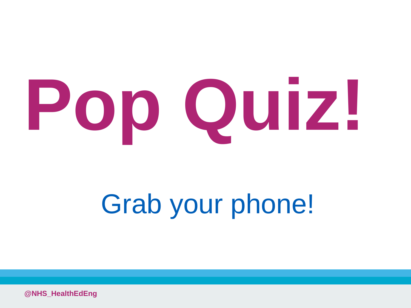

# Grab your phone!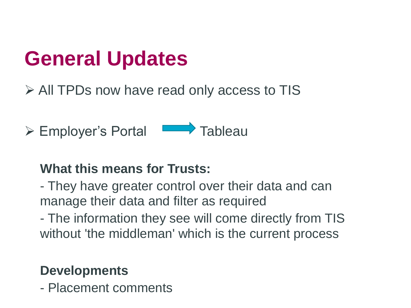## **General Updates**

➢ All TPDs now have read only access to TIS

▶ Employer's Portal Tableau



### **What this means for Trusts:**

- They have greater control over their data and can manage their data and filter as required
- The information they see will come directly from TIS without 'the middleman' which is the current process

### **Developments**

- Placement comments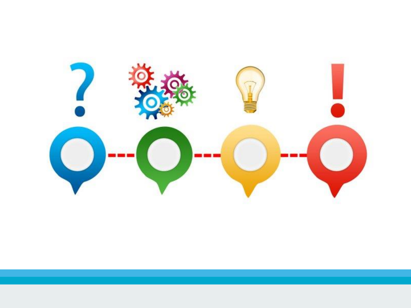